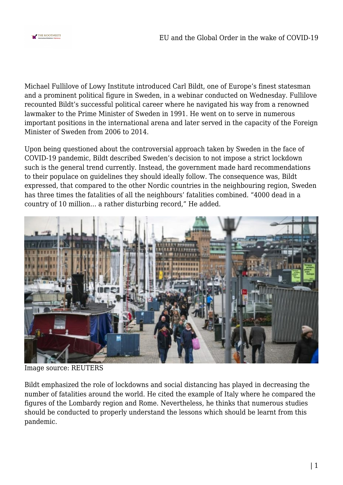

Michael Fullilove of Lowy Institute introduced Carl Bildt, one of Europe's finest statesman and a prominent political figure in Sweden, in a webinar conducted on Wednesday. Fullilove recounted Bildt's successful political career where he navigated his way from a renowned lawmaker to the Prime Minister of Sweden in 1991. He went on to serve in numerous important positions in the international arena and later served in the capacity of the Foreign Minister of Sweden from 2006 to 2014.

Upon being questioned about the controversial approach taken by Sweden in the face of COVID-19 pandemic, Bildt described Sweden's decision to not impose a strict lockdown such is the general trend currently. Instead, the government made hard recommendations to their populace on guidelines they should ideally follow. The consequence was, Bildt expressed, that compared to the other Nordic countries in the neighbouring region, Sweden has three times the fatalities of all the neighbours' fatalities combined. "4000 dead in a country of 10 million… a rather disturbing record," He added.



Image source: REUTERS

Bildt emphasized the role of lockdowns and social distancing has played in decreasing the number of fatalities around the world. He cited the example of Italy where he compared the figures of the Lombardy region and Rome. Nevertheless, he thinks that numerous studies should be conducted to properly understand the lessons which should be learnt from this pandemic.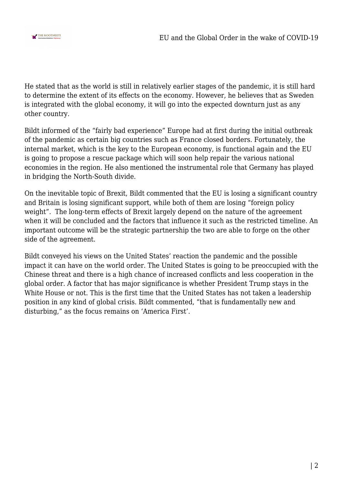

He stated that as the world is still in relatively earlier stages of the pandemic, it is still hard to determine the extent of its effects on the economy. However, he believes that as Sweden is integrated with the global economy, it will go into the expected downturn just as any other country.

Bildt informed of the "fairly bad experience" Europe had at first during the initial outbreak of the pandemic as certain big countries such as France closed borders. Fortunately, the internal market, which is the key to the European economy, is functional again and the EU is going to propose a rescue package which will soon help repair the various national economies in the region. He also mentioned the instrumental role that Germany has played in bridging the North-South divide.

On the inevitable topic of Brexit, Bildt commented that the EU is losing a significant country and Britain is losing significant support, while both of them are losing "foreign policy weight". The long-term effects of Brexit largely depend on the nature of the agreement when it will be concluded and the factors that influence it such as the restricted timeline. An important outcome will be the strategic partnership the two are able to forge on the other side of the agreement.

Bildt conveyed his views on the United States' reaction the pandemic and the possible impact it can have on the world order. The United States is going to be preoccupied with the Chinese threat and there is a high chance of increased conflicts and less cooperation in the global order. A factor that has major significance is whether President Trump stays in the White House or not. This is the first time that the United States has not taken a leadership position in any kind of global crisis. Bildt commented, "that is fundamentally new and disturbing," as the focus remains on 'America First'.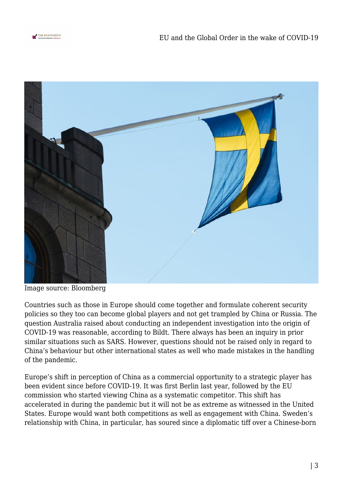



Image source: Bloomberg

Countries such as those in Europe should come together and formulate coherent security policies so they too can become global players and not get trampled by China or Russia. The question Australia raised about conducting an independent investigation into the origin of COVID-19 was reasonable, according to Bildt. There always has been an inquiry in prior similar situations such as SARS. However, questions should not be raised only in regard to China's behaviour but other international states as well who made mistakes in the handling of the pandemic.

Europe's shift in perception of China as a commercial opportunity to a strategic player has been evident since before COVID-19. It was first Berlin last year, followed by the EU commission who started viewing China as a systematic competitor. This shift has accelerated in during the pandemic but it will not be as extreme as witnessed in the United States. Europe would want both competitions as well as engagement with China. Sweden's relationship with China, in particular, has soured since a diplomatic tiff over a Chinese-born